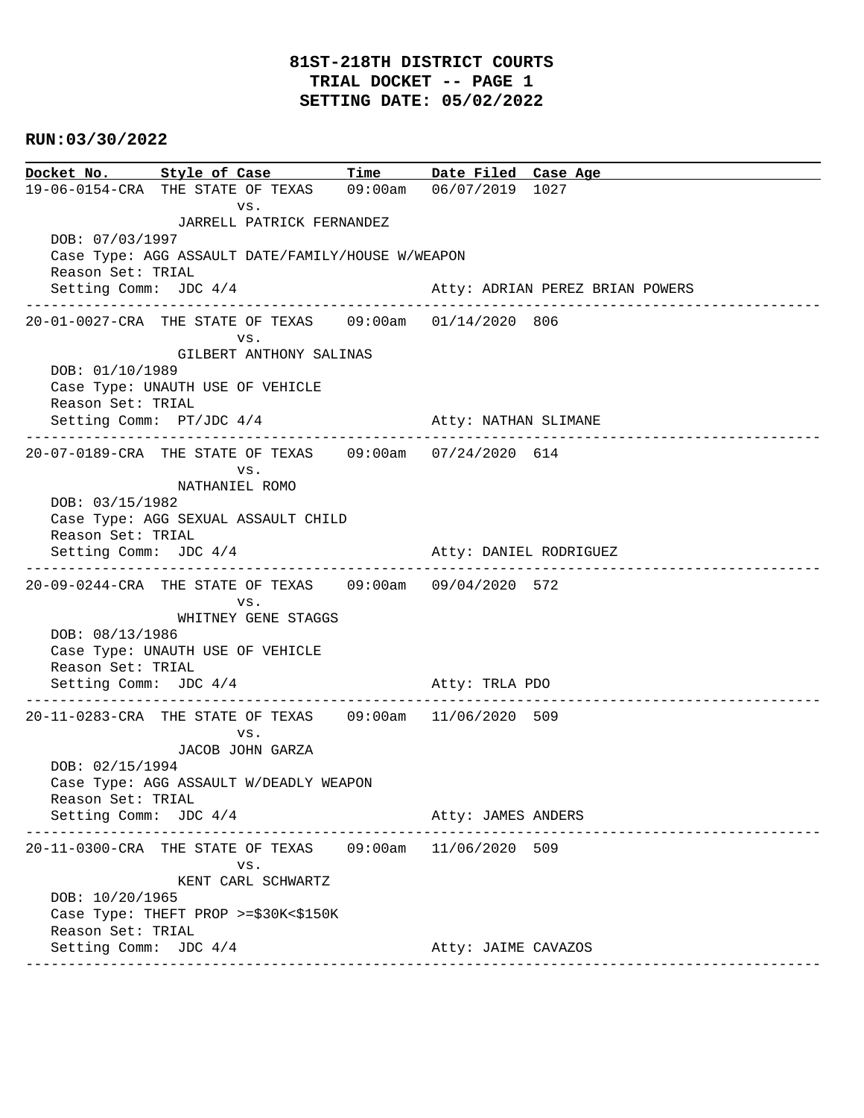**Docket No. Style of Case Time Date Filed Case Age**  19-06-0154-CRA THE STATE OF TEXAS 09:00am 06/07/2019 1027 vs. JARRELL PATRICK FERNANDEZ DOB: 07/03/1997 Case Type: AGG ASSAULT DATE/FAMILY/HOUSE W/WEAPON Reason Set: TRIAL Setting Comm: JDC 4/4 Atty: ADRIAN PEREZ BRIAN POWERS ---------------------------------------------------------------------------------------------- 20-01-0027-CRA THE STATE OF TEXAS 09:00am 01/14/2020 806 vs. GILBERT ANTHONY SALINAS DOB: 01/10/1989 Case Type: UNAUTH USE OF VEHICLE Reason Set: TRIAL Setting Comm: PT/JDC 4/4 Atty: NATHAN SLIMANE ---------------------------------------------------------------------------------------------- 20-07-0189-CRA THE STATE OF TEXAS 09:00am 07/24/2020 614 vs. NATHANIEL ROMO DOB: 03/15/1982 Case Type: AGG SEXUAL ASSAULT CHILD Reason Set: TRIAL Setting Comm: JDC 4/4 Atty: DANIEL RODRIGUEZ ---------------------------------------------------------------------------------------------- 20-09-0244-CRA THE STATE OF TEXAS 09:00am 09/04/2020 572 vs. WHITNEY GENE STAGGS DOB: 08/13/1986 Case Type: UNAUTH USE OF VEHICLE Reason Set: TRIAL Setting Comm: JDC 4/4 Atty: TRLA PDO ---------------------------------------------------------------------------------------------- 20-11-0283-CRA THE STATE OF TEXAS 09:00am 11/06/2020 509 vs. JACOB JOHN GARZA DOB: 02/15/1994 Case Type: AGG ASSAULT W/DEADLY WEAPON Reason Set: TRIAL Setting Comm: JDC  $4/4$  Atty: JAMES ANDERS ---------------------------------------------------------------------------------------------- 20-11-0300-CRA THE STATE OF TEXAS 09:00am 11/06/2020 509 vs. KENT CARL SCHWARTZ DOB: 10/20/1965 Case Type: THEFT PROP >=\$30K<\$150K Reason Set: TRIAL Setting Comm: JDC 4/4 Atty: JAIME CAVAZOS ----------------------------------------------------------------------------------------------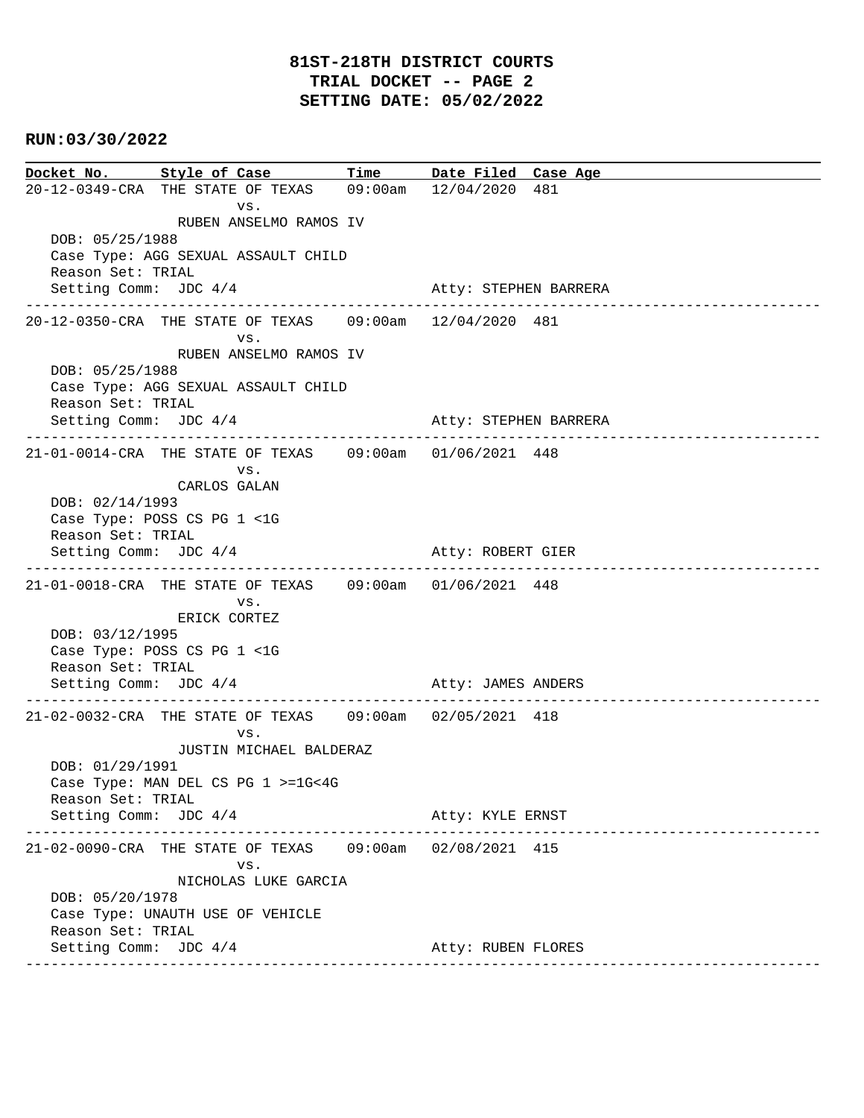**Docket No. Style of Case Time Date Filed Case Age**  20-12-0349-CRA THE STATE OF TEXAS 09:00am 12/04/2020 481 vs. RUBEN ANSELMO RAMOS IV DOB: 05/25/1988 Case Type: AGG SEXUAL ASSAULT CHILD Reason Set: TRIAL Setting Comm: JDC  $4/4$  Atty: STEPHEN BARRERA ---------------------------------------------------------------------------------------------- 20-12-0350-CRA THE STATE OF TEXAS 09:00am 12/04/2020 481 vs. RUBEN ANSELMO RAMOS IV DOB: 05/25/1988 Case Type: AGG SEXUAL ASSAULT CHILD Reason Set: TRIAL Setting Comm: JDC 4/4 Atty: STEPHEN BARRERA ---------------------------------------------------------------------------------------------- 21-01-0014-CRA THE STATE OF TEXAS 09:00am 01/06/2021 448 vs. CARLOS GALAN DOB: 02/14/1993 Case Type: POSS CS PG 1 <1G Reason Set: TRIAL Setting Comm: JDC 4/4 Atty: ROBERT GIER ---------------------------------------------------------------------------------------------- 21-01-0018-CRA THE STATE OF TEXAS 09:00am 01/06/2021 448 vs. ERICK CORTEZ DOB: 03/12/1995 Case Type: POSS CS PG 1 <1G Reason Set: TRIAL Setting Comm: JDC  $4/4$  Atty: JAMES ANDERS ---------------------------------------------------------------------------------------------- 21-02-0032-CRA THE STATE OF TEXAS 09:00am 02/05/2021 418 vs. JUSTIN MICHAEL BALDERAZ DOB: 01/29/1991 Case Type: MAN DEL CS PG 1 >=1G<4G Reason Set: TRIAL Setting Comm: JDC  $4/4$  Atty: KYLE ERNST ---------------------------------------------------------------------------------------------- 21-02-0090-CRA THE STATE OF TEXAS 09:00am 02/08/2021 415 vs. NICHOLAS LUKE GARCIA DOB: 05/20/1978 Case Type: UNAUTH USE OF VEHICLE Reason Set: TRIAL Setting Comm: JDC 4/4 Atty: RUBEN FLORES ----------------------------------------------------------------------------------------------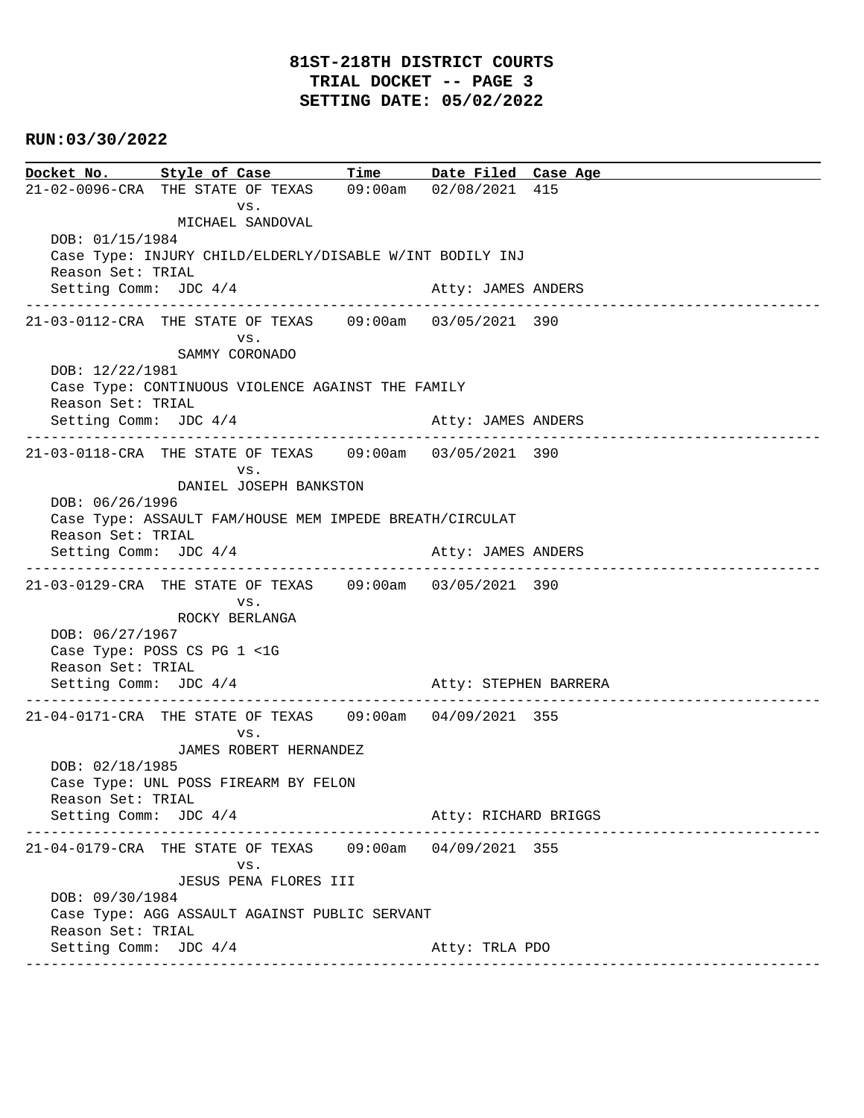**Docket No. Style of Case Time Date Filed Case Age**  21-02-0096-CRA THE STATE OF TEXAS 09:00am 02/08/2021 415 vs. MICHAEL SANDOVAL DOB: 01/15/1984 Case Type: INJURY CHILD/ELDERLY/DISABLE W/INT BODILY INJ Reason Set: TRIAL Setting Comm: JDC 4/4 Atty: JAMES ANDERS ---------------------------------------------------------------------------------------------- 21-03-0112-CRA THE STATE OF TEXAS 09:00am 03/05/2021 390 vs. SAMMY CORONADO DOB: 12/22/1981 Case Type: CONTINUOUS VIOLENCE AGAINST THE FAMILY Reason Set: TRIAL Setting Comm: JDC 4/4 Atty: JAMES ANDERS ---------------------------------------------------------------------------------------------- 21-03-0118-CRA THE STATE OF TEXAS 09:00am 03/05/2021 390 vs. DANIEL JOSEPH BANKSTON DOB: 06/26/1996 Case Type: ASSAULT FAM/HOUSE MEM IMPEDE BREATH/CIRCULAT Reason Set: TRIAL Setting Comm: JDC 4/4 Atty: JAMES ANDERS ---------------------------------------------------------------------------------------------- 21-03-0129-CRA THE STATE OF TEXAS 09:00am 03/05/2021 390 vs. ROCKY BERLANGA DOB: 06/27/1967 Case Type: POSS CS PG 1 <1G Reason Set: TRIAL Setting Comm: JDC 4/4 Atty: STEPHEN BARRERA ---------------------------------------------------------------------------------------------- 21-04-0171-CRA THE STATE OF TEXAS 09:00am 04/09/2021 355 vs. JAMES ROBERT HERNANDEZ DOB: 02/18/1985 Case Type: UNL POSS FIREARM BY FELON Reason Set: TRIAL Setting Comm: JDC 4/4 Atty: RICHARD BRIGGS ---------------------------------------------------------------------------------------------- 21-04-0179-CRA THE STATE OF TEXAS 09:00am 04/09/2021 355 vs. JESUS PENA FLORES III DOB: 09/30/1984 Case Type: AGG ASSAULT AGAINST PUBLIC SERVANT Reason Set: TRIAL Setting Comm: JDC 4/4 Atty: TRLA PDO ----------------------------------------------------------------------------------------------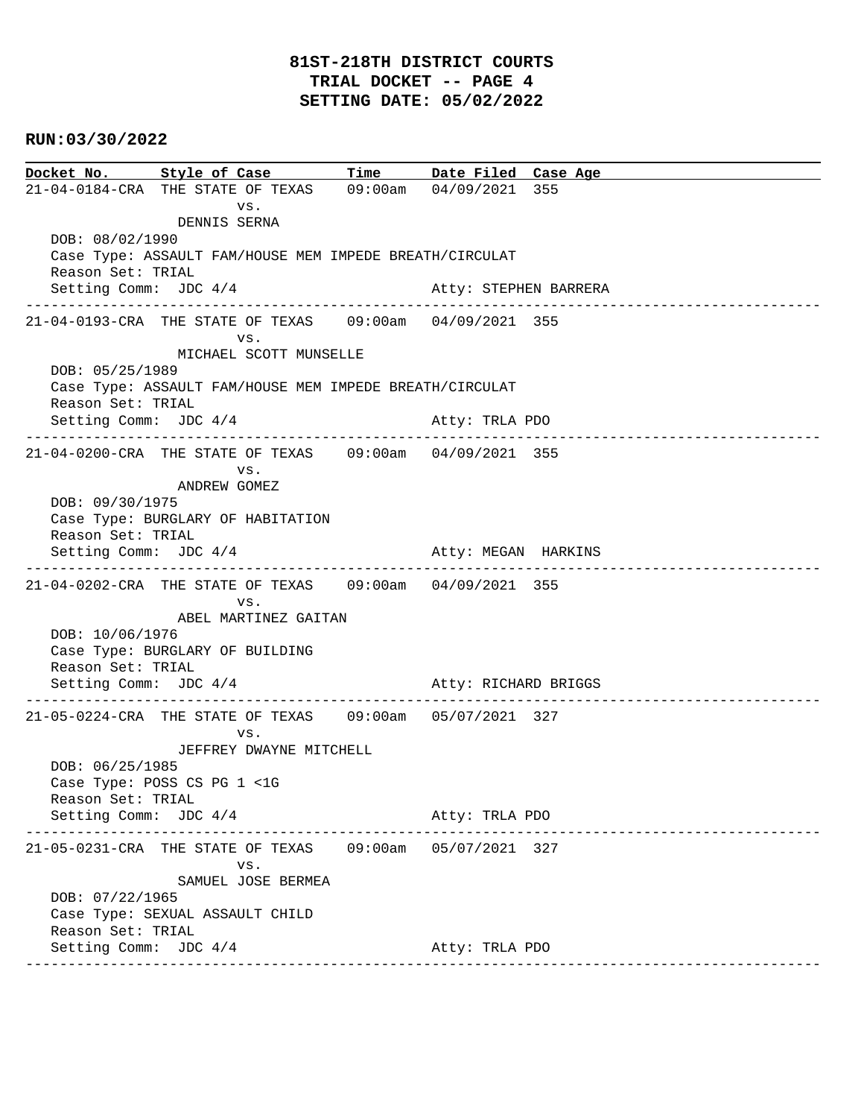# **81ST-218TH DISTRICT COURTS TRIAL DOCKET -- PAGE 4 SETTING DATE: 05/02/2022**

## **RUN:03/30/2022**

**Docket No. Style of Case Time Date Filed Case Age**  21-04-0184-CRA THE STATE OF TEXAS 09:00am 04/09/2021 355 vs. DENNIS SERNA DOB: 08/02/1990 Case Type: ASSAULT FAM/HOUSE MEM IMPEDE BREATH/CIRCULAT Reason Set: TRIAL Setting Comm: JDC  $4/4$  Atty: STEPHEN BARRERA ---------------------------------------------------------------------------------------------- 21-04-0193-CRA THE STATE OF TEXAS 09:00am 04/09/2021 355 vs. MICHAEL SCOTT MUNSELLE DOB: 05/25/1989 Case Type: ASSAULT FAM/HOUSE MEM IMPEDE BREATH/CIRCULAT Reason Set: TRIAL Setting Comm: JDC  $4/4$  Atty: TRLA PDO ---------------------------------------------------------------------------------------------- 21-04-0200-CRA THE STATE OF TEXAS 09:00am 04/09/2021 355 vs. ANDREW GOMEZ DOB: 09/30/1975 Case Type: BURGLARY OF HABITATION Reason Set: TRIAL Setting Comm: JDC 4/4 Atty: MEGAN HARKINS ---------------------------------------------------------------------------------------------- 21-04-0202-CRA THE STATE OF TEXAS 09:00am 04/09/2021 355 vs. ABEL MARTINEZ GAITAN DOB: 10/06/1976 Case Type: BURGLARY OF BUILDING Reason Set: TRIAL Setting Comm: JDC 4/4 Atty: RICHARD BRIGGS ---------------------------------------------------------------------------------------------- 21-05-0224-CRA THE STATE OF TEXAS 09:00am 05/07/2021 327 vs. JEFFREY DWAYNE MITCHELL DOB: 06/25/1985 Case Type: POSS CS PG 1 <1G Reason Set: TRIAL Setting Comm: JDC 4/4 Atty: TRLA PDO ---------------------------------------------------------------------------------------------- 21-05-0231-CRA THE STATE OF TEXAS 09:00am 05/07/2021 327 vs. SAMUEL JOSE BERMEA DOB: 07/22/1965 Case Type: SEXUAL ASSAULT CHILD Reason Set: TRIAL Setting Comm: JDC 4/4 Atty: TRLA PDO ----------------------------------------------------------------------------------------------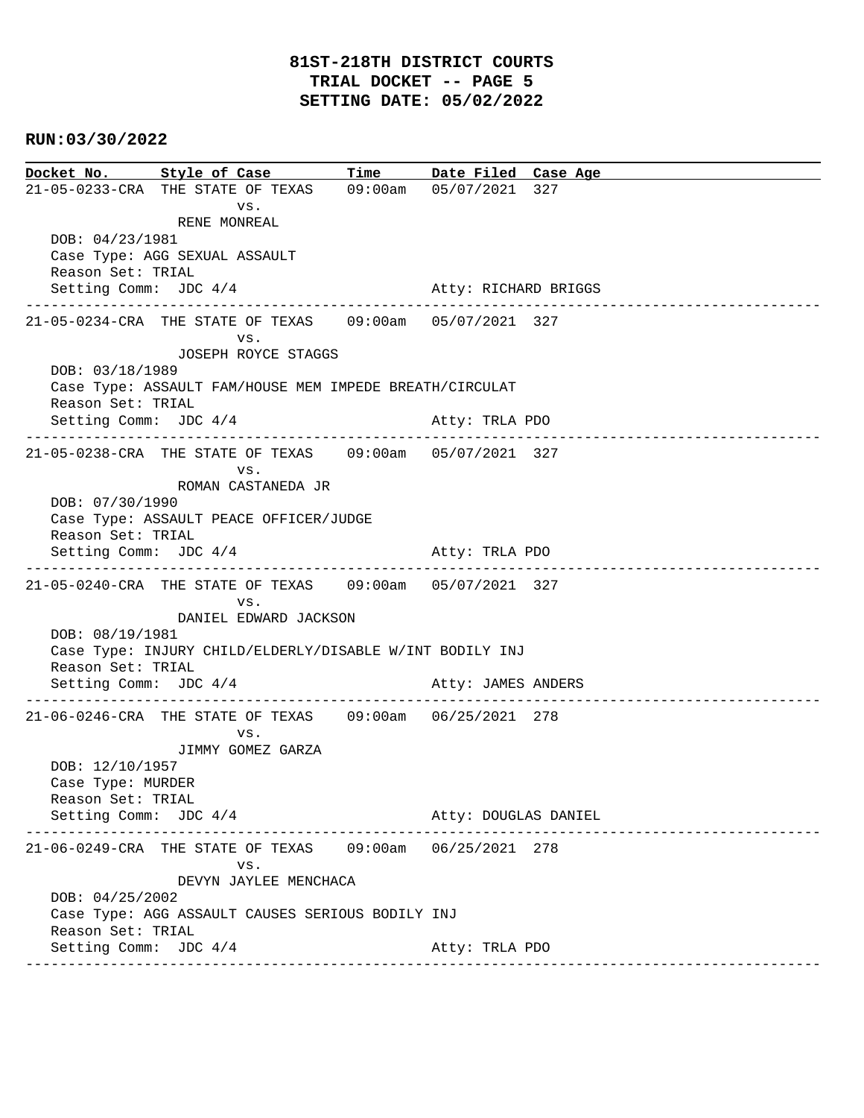**Docket No. Style of Case Time Date Filed Case Age**  21-05-0233-CRA THE STATE OF TEXAS 09:00am 05/07/2021 327 vs. RENE MONREAL DOB: 04/23/1981 Case Type: AGG SEXUAL ASSAULT Reason Set: TRIAL Setting Comm: JDC 4/4 Atty: RICHARD BRIGGS ---------------------------------------------------------------------------------------------- 21-05-0234-CRA THE STATE OF TEXAS 09:00am 05/07/2021 327 vs. JOSEPH ROYCE STAGGS DOB: 03/18/1989 Case Type: ASSAULT FAM/HOUSE MEM IMPEDE BREATH/CIRCULAT Reason Set: TRIAL Setting Comm: JDC 4/4 Atty: TRLA PDO ---------------------------------------------------------------------------------------------- 21-05-0238-CRA THE STATE OF TEXAS 09:00am 05/07/2021 327 vs. ROMAN CASTANEDA JR DOB: 07/30/1990 Case Type: ASSAULT PEACE OFFICER/JUDGE Reason Set: TRIAL Setting Comm: JDC 4/4 Atty: TRLA PDO ---------------------------------------------------------------------------------------------- 21-05-0240-CRA THE STATE OF TEXAS 09:00am 05/07/2021 327 vs. DANIEL EDWARD JACKSON DOB: 08/19/1981 Case Type: INJURY CHILD/ELDERLY/DISABLE W/INT BODILY INJ Reason Set: TRIAL Setting Comm: JDC 4/4 Atty: JAMES ANDERS ---------------------------------------------------------------------------------------------- 21-06-0246-CRA THE STATE OF TEXAS 09:00am 06/25/2021 278 vs. JIMMY GOMEZ GARZA DOB: 12/10/1957 Case Type: MURDER Reason Set: TRIAL Setting Comm: JDC 4/4 Atty: DOUGLAS DANIEL ---------------------------------------------------------------------------------------------- 21-06-0249-CRA THE STATE OF TEXAS 09:00am 06/25/2021 278 vs. DEVYN JAYLEE MENCHACA DOB: 04/25/2002 Case Type: AGG ASSAULT CAUSES SERIOUS BODILY INJ Reason Set: TRIAL Setting Comm: JDC 4/4 Atty: TRLA PDO ----------------------------------------------------------------------------------------------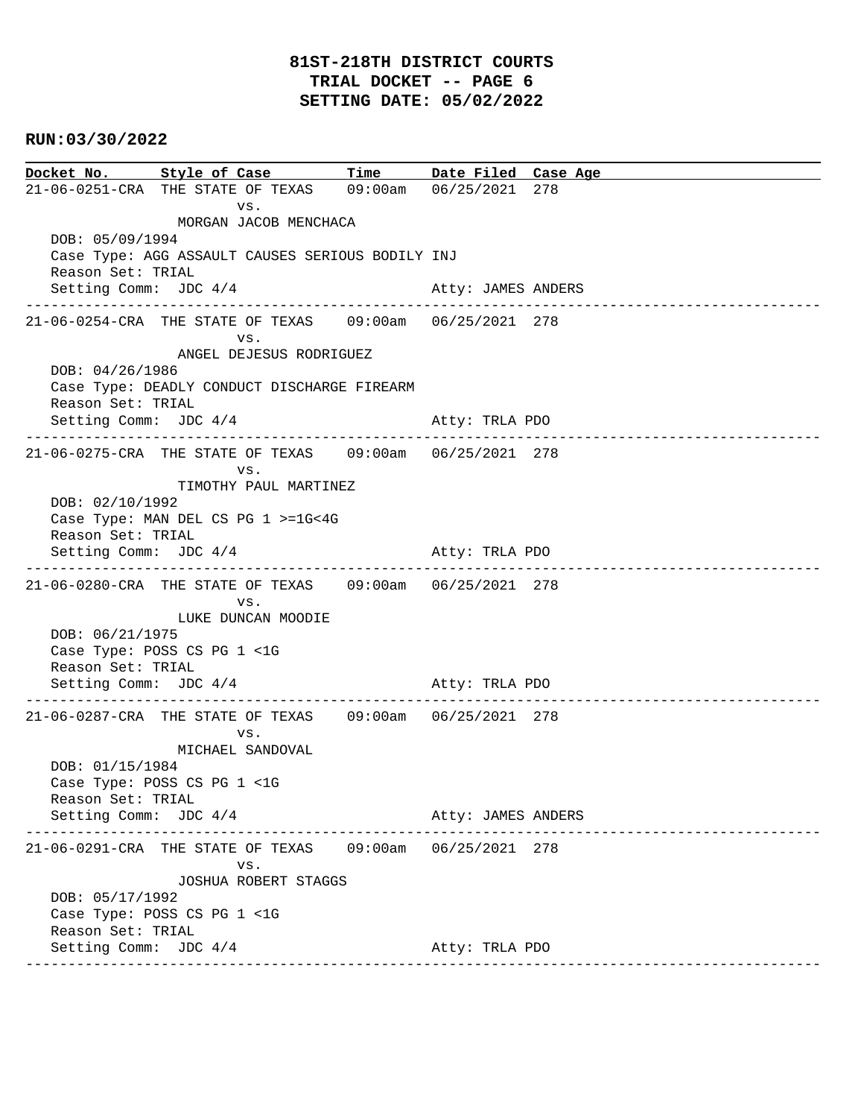**Docket No. Style of Case Time Date Filed Case Age**  21-06-0251-CRA THE STATE OF TEXAS 09:00am 06/25/2021 278 vs. MORGAN JACOB MENCHACA DOB: 05/09/1994 Case Type: AGG ASSAULT CAUSES SERIOUS BODILY INJ Reason Set: TRIAL Setting Comm: JDC 4/4 Atty: JAMES ANDERS ---------------------------------------------------------------------------------------------- 21-06-0254-CRA THE STATE OF TEXAS 09:00am 06/25/2021 278 vs. ANGEL DEJESUS RODRIGUEZ DOB: 04/26/1986 Case Type: DEADLY CONDUCT DISCHARGE FIREARM Reason Set: TRIAL Setting Comm: JDC  $4/4$  Atty: TRLA PDO ---------------------------------------------------------------------------------------------- 21-06-0275-CRA THE STATE OF TEXAS 09:00am 06/25/2021 278 vs. TIMOTHY PAUL MARTINEZ DOB: 02/10/1992 Case Type: MAN DEL CS PG 1 >=1G<4G Reason Set: TRIAL Setting Comm: JDC 4/4 Atty: TRLA PDO ---------------------------------------------------------------------------------------------- 21-06-0280-CRA THE STATE OF TEXAS 09:00am 06/25/2021 278 vs. LUKE DUNCAN MOODIE DOB: 06/21/1975 Case Type: POSS CS PG 1 <1G Reason Set: TRIAL Setting Comm: JDC 4/4 Atty: TRLA PDO ---------------------------------------------------------------------------------------------- 21-06-0287-CRA THE STATE OF TEXAS 09:00am 06/25/2021 278 vs. MICHAEL SANDOVAL DOB: 01/15/1984 Case Type: POSS CS PG 1 <1G Reason Set: TRIAL Setting Comm: JDC  $4/4$  Atty: JAMES ANDERS ---------------------------------------------------------------------------------------------- 21-06-0291-CRA THE STATE OF TEXAS 09:00am 06/25/2021 278 vs. JOSHUA ROBERT STAGGS DOB: 05/17/1992 Case Type: POSS CS PG 1 <1G Reason Set: TRIAL Setting Comm: JDC 4/4 Atty: TRLA PDO ----------------------------------------------------------------------------------------------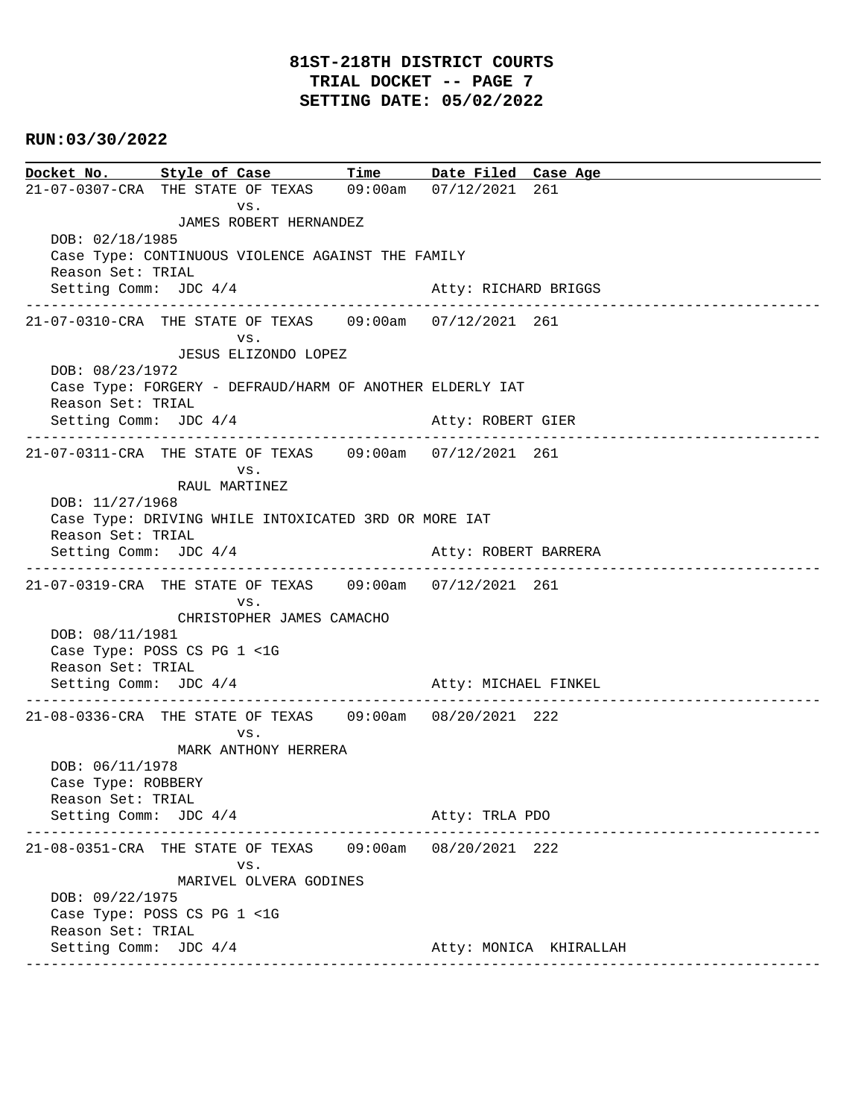**Docket No. Style of Case Time Date Filed Case Age**  21-07-0307-CRA THE STATE OF TEXAS 09:00am 07/12/2021 261 vs. JAMES ROBERT HERNANDEZ DOB: 02/18/1985 Case Type: CONTINUOUS VIOLENCE AGAINST THE FAMILY Reason Set: TRIAL Setting Comm: JDC 4/4 Atty: RICHARD BRIGGS ---------------------------------------------------------------------------------------------- 21-07-0310-CRA THE STATE OF TEXAS 09:00am 07/12/2021 261 vs. JESUS ELIZONDO LOPEZ DOB: 08/23/1972 Case Type: FORGERY - DEFRAUD/HARM OF ANOTHER ELDERLY IAT Reason Set: TRIAL Setting Comm: JDC  $4/4$  Atty: ROBERT GIER ---------------------------------------------------------------------------------------------- 21-07-0311-CRA THE STATE OF TEXAS 09:00am 07/12/2021 261 vs. RAUL MARTINEZ DOB: 11/27/1968 Case Type: DRIVING WHILE INTOXICATED 3RD OR MORE IAT Reason Set: TRIAL Setting Comm: JDC  $4/4$  Atty: ROBERT BARRERA ---------------------------------------------------------------------------------------------- 21-07-0319-CRA THE STATE OF TEXAS 09:00am 07/12/2021 261 vs. CHRISTOPHER JAMES CAMACHO DOB: 08/11/1981 Case Type: POSS CS PG 1 <1G Reason Set: TRIAL Setting Comm: JDC 4/4 Atty: MICHAEL FINKEL ---------------------------------------------------------------------------------------------- 21-08-0336-CRA THE STATE OF TEXAS 09:00am 08/20/2021 222 vs. MARK ANTHONY HERRERA DOB: 06/11/1978 Case Type: ROBBERY Reason Set: TRIAL Setting Comm: JDC 4/4 Atty: TRLA PDO ---------------------------------------------------------------------------------------------- 21-08-0351-CRA THE STATE OF TEXAS 09:00am 08/20/2021 222 vs. MARIVEL OLVERA GODINES DOB: 09/22/1975 Case Type: POSS CS PG 1 <1G Reason Set: TRIAL Setting Comm: JDC 4/4 Atty: MONICA KHIRALLAH ----------------------------------------------------------------------------------------------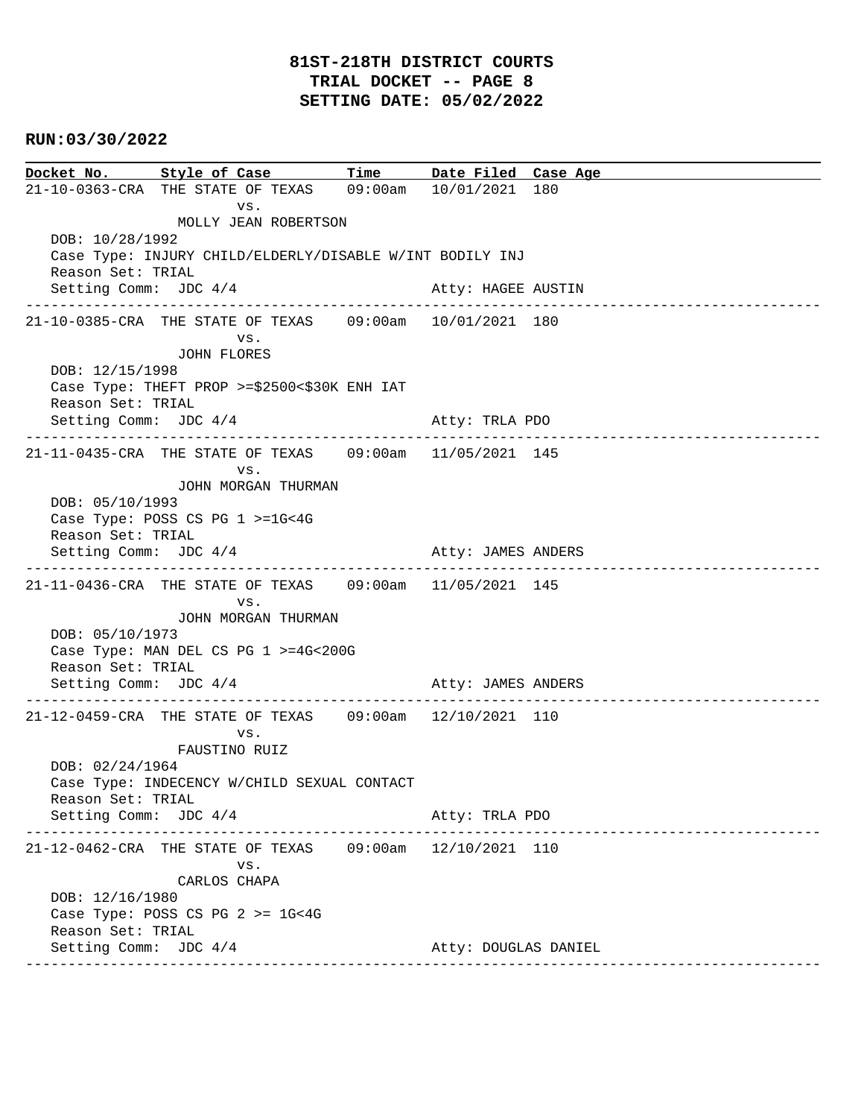# **81ST-218TH DISTRICT COURTS TRIAL DOCKET -- PAGE 8 SETTING DATE: 05/02/2022**

## **RUN:03/30/2022**

**Docket No. Style of Case Time Date Filed Case Age**  21-10-0363-CRA THE STATE OF TEXAS 09:00am 10/01/2021 180 vs. MOLLY JEAN ROBERTSON DOB: 10/28/1992 Case Type: INJURY CHILD/ELDERLY/DISABLE W/INT BODILY INJ Reason Set: TRIAL Setting Comm: JDC 4/4 Atty: HAGEE AUSTIN ---------------------------------------------------------------------------------------------- 21-10-0385-CRA THE STATE OF TEXAS 09:00am 10/01/2021 180 vs. JOHN FLORES DOB: 12/15/1998 Case Type: THEFT PROP >=\$2500<\$30K ENH IAT Reason Set: TRIAL Setting Comm: JDC  $4/4$  Atty: TRLA PDO ---------------------------------------------------------------------------------------------- 21-11-0435-CRA THE STATE OF TEXAS 09:00am 11/05/2021 145 vs. JOHN MORGAN THURMAN DOB: 05/10/1993 Case Type: POSS CS PG 1 >=1G<4G Reason Set: TRIAL Setting Comm: JDC  $4/4$  Atty: JAMES ANDERS ---------------------------------------------------------------------------------------------- 21-11-0436-CRA THE STATE OF TEXAS 09:00am 11/05/2021 145 vs. JOHN MORGAN THURMAN DOB: 05/10/1973 Case Type: MAN DEL CS PG 1 >=4G<200G Reason Set: TRIAL Setting Comm: JDC 4/4 Atty: JAMES ANDERS ---------------------------------------------------------------------------------------------- 21-12-0459-CRA THE STATE OF TEXAS 09:00am 12/10/2021 110 vs. FAUSTINO RUIZ DOB: 02/24/1964 Case Type: INDECENCY W/CHILD SEXUAL CONTACT Reason Set: TRIAL Setting Comm: JDC 4/4 Atty: TRLA PDO ---------------------------------------------------------------------------------------------- 21-12-0462-CRA THE STATE OF TEXAS 09:00am 12/10/2021 110 vs. CARLOS CHAPA DOB: 12/16/1980 Case Type: POSS CS PG 2 >= 1G<4G Reason Set: TRIAL Setting Comm: JDC 4/4 Atty: DOUGLAS DANIEL ----------------------------------------------------------------------------------------------